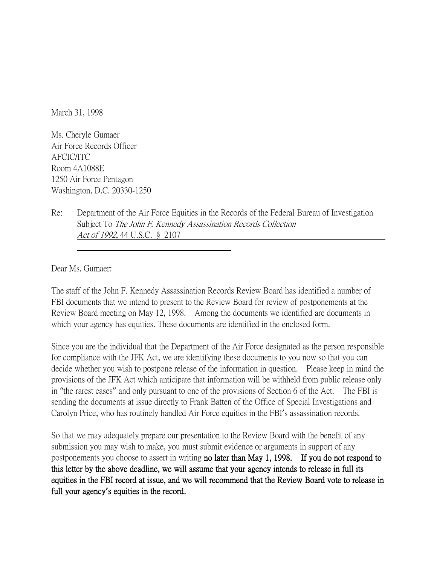March 31, 1998

Ms. Cheryle Gumaer Air Force Records Officer AFCIC/ITC Room 4A1088E 1250 Air Force Pentagon Washington, D.C. 20330-1250

Re: Department of the Air Force Equities in the Records of the Federal Bureau of Investigation Subject To The John F. Kennedy Assassination Records Collection Act of 1992, 44 U.S.C. § 2107

Dear Ms. Gumaer:

The staff of the John F. Kennedy Assassination Records Review Board has identified a number of FBI documents that we intend to present to the Review Board for review of postponements at the Review Board meeting on May 12, 1998. Among the documents we identified are documents in which your agency has equities. These documents are identified in the enclosed form.

Since you are the individual that the Department of the Air Force designated as the person responsible for compliance with the JFK Act, we are identifying these documents to you now so that you can decide whether you wish to postpone release of the information in question. Please keep in mind the provisions of the JFK Act which anticipate that information will be withheld from public release only in "the rarest cases" and only pursuant to one of the provisions of Section 6 of the Act. The FBI is sending the documents at issue directly to Frank Batten of the Office of Special Investigations and Carolyn Price, who has routinely handled Air Force equities in the FBI's assassination records.

So that we may adequately prepare our presentation to the Review Board with the benefit of any submission you may wish to make, you must submit evidence or arguments in support of any postponements you choose to assert in writing no later than May 1, 1998. If you do not respond to this letter by the above deadline, we will assume that your agency intends to release in full its equities in the FBI record at issue, and we will recommend that the Review Board vote to release in full your agency**'**s equities in the record.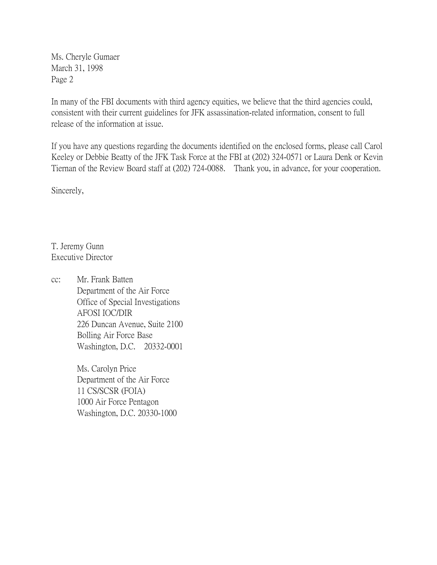Ms. Cheryle Gumaer March 31, 1998 Page 2

In many of the FBI documents with third agency equities, we believe that the third agencies could, consistent with their current guidelines for JFK assassination-related information, consent to full release of the information at issue.

If you have any questions regarding the documents identified on the enclosed forms, please call Carol Keeley or Debbie Beatty of the JFK Task Force at the FBI at (202) 324-0571 or Laura Denk or Kevin Tiernan of the Review Board staff at (202) 724-0088. Thank you, in advance, for your cooperation.

Sincerely,

T. Jeremy Gunn Executive Director

cc: Mr. Frank Batten Department of the Air Force Office of Special Investigations AFOSI IOC/DIR 226 Duncan Avenue, Suite 2100 Bolling Air Force Base Washington, D.C. 20332-0001

> Ms. Carolyn Price Department of the Air Force 11 CS/SCSR (FOIA) 1000 Air Force Pentagon Washington, D.C. 20330-1000